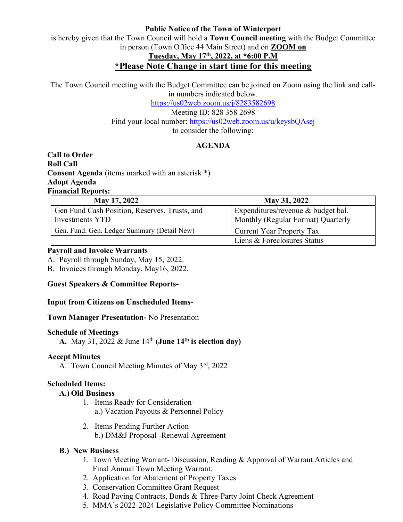### Public Notice of the Town of Winterport

is hereby given that the Town Council will hold a Town Council meeting with the Budget Committee in person (Town Office 44 Main Street) and on ZOOM on

# Tuesday, May 17th, 2022, at \*6:00 P.M

## \*Please Note Change in start time for this meeting

The Town Council meeting with the Budget Committee can be joined on Zoom using the link and callin numbers indicated below.

> https://us02web.zoom.us/j/8283582698 Meeting ID: 828 358 2698 Find your local number: https://us02web.zoom.us/u/keysbQAsej to consider the following:

## AGENDA

Call to Order Roll Call Consent Agenda (items marked with an asterisk \*) Adopt Agenda Financial Reports:

| <b>May 17, 2022</b>                                              | May 31, 2022                                                             |
|------------------------------------------------------------------|--------------------------------------------------------------------------|
| Gen Fund Cash Position, Reserves, Trusts, and<br>Investments YTD | Expenditures/revenue & budget bal.<br>Monthly (Regular Format) Quarterly |
| Gen. Fund. Gen. Ledger Summary (Detail New)                      | <b>Current Year Property Tax</b>                                         |
|                                                                  | Liens & Foreclosures Status                                              |

#### Payroll and Invoice Warrants

A. Payroll through Sunday, May 15, 2022.

B. Invoices through Monday, May16, 2022.

Guest Speakers & Committee Reports-

## Input from Citizens on Unscheduled Items-

Town Manager Presentation- No Presentation

#### Schedule of Meetings

A. May 31, 2022 & June  $14<sup>th</sup>$  (June  $14<sup>th</sup>$  is election day)

## Accept Minutes

A. Town Council Meeting Minutes of May 3rd, 2022

## Scheduled Items:

## A.) Old Business

- 1. Items Ready for Considerationa.) Vacation Payouts & Personnel Policy
- 2. Items Pending Further Actionb.) DM&J Proposal -Renewal Agreement

## B.) New Business

- 1. Town Meeting Warrant- Discussion, Reading & Approval of Warrant Articles and Final Annual Town Meeting Warrant.
- 2. Application for Abatement of Property Taxes
- 3. Conservation Committee Grant Request
- 4. Road Paving Contracts, Bonds & Three-Party Joint Check Agreement
- 5. MMA's 2022-2024 Legislative Policy Committee Nominations